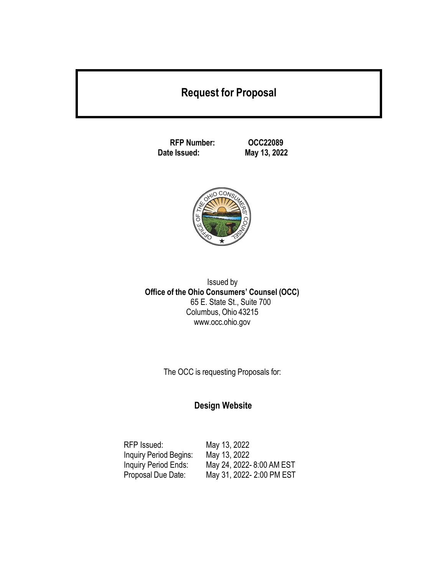# **Request for Proposal**

**RFP Number: OCC22089**

**Date Issued: May 13, 2022**



Issued by **Office of the Ohio Consumers' Counsel (OCC)** 65 E. State St., Suite 700 Columbus, Ohio 43215 [www.occ.ohio.gov](http://www.occ.ohio.gov/)

The OCC is requesting Proposals for:

## **Design Website**

| RFP Issued:            | May 13, 2022              |
|------------------------|---------------------------|
| Inquiry Period Begins: | May 13, 2022              |
| Inquiry Period Ends:   | May 24, 2022-8:00 AM EST  |
| Proposal Due Date:     | May 31, 2022- 2:00 PM EST |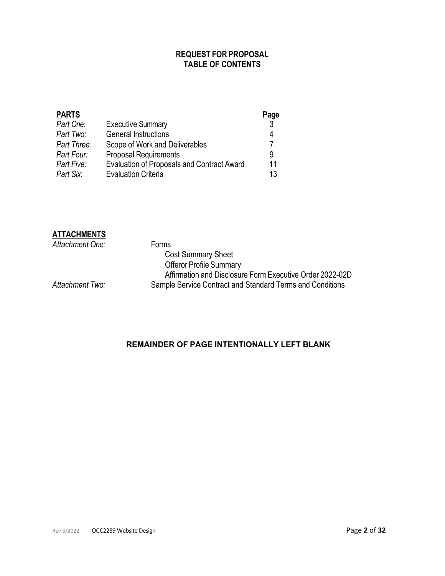## **REQUEST FOR PROPOSAL TABLE OF CONTENTS**

|                                                   | Page |
|---------------------------------------------------|------|
| <b>Executive Summary</b>                          | -3   |
| <b>General Instructions</b>                       | 4    |
| Scope of Work and Deliverables                    |      |
| <b>Proposal Requirements</b>                      | 9    |
| <b>Evaluation of Proposals and Contract Award</b> | 11   |
| <b>Evaluation Criteria</b>                        | 13   |
|                                                   |      |

### **ATTACHMENTS**

| Attachment One: | <b>Forms</b>                                              |
|-----------------|-----------------------------------------------------------|
|                 | <b>Cost Summary Sheet</b>                                 |
|                 | <b>Offeror Profile Summary</b>                            |
|                 | Affirmation and Disclosure Form Executive Order 2022-02D  |
| Attachment Two: | Sample Service Contract and Standard Terms and Conditions |
|                 |                                                           |

## **REMAINDER OF PAGE INTENTIONALLY LEFT BLANK**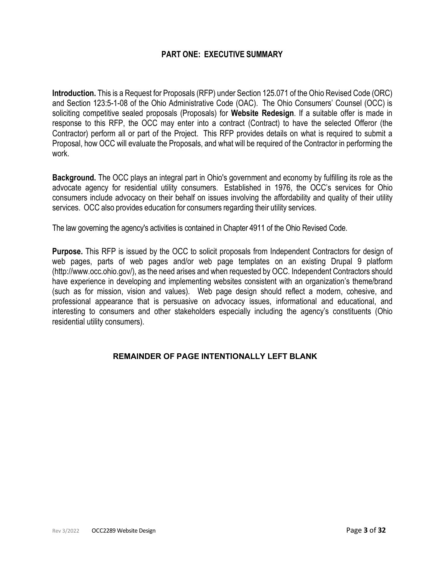## **PART ONE: EXECUTIVE SUMMARY**

<span id="page-2-0"></span>**Introduction.** This is a Request for Proposals (RFP) under Section 125.071 of the Ohio Revised Code (ORC) and Section 123:5-1-08 of the Ohio Administrative Code (OAC). The Ohio Consumers' Counsel (OCC) is soliciting competitive sealed proposals (Proposals) for **Website Redesign**. If a suitable offer is made in response to this RFP, the OCC may enter into a contract (Contract) to have the selected Offeror (the Contractor) perform all or part of the Project. This RFP provides details on what is required to submit a Proposal, how OCC will evaluate the Proposals, and what will be required of the Contractor in performing the work.

**Background.** The OCC plays an integral part in Ohio's government and economy by fulfilling its role as the advocate agency for residential utility consumers. Established in 1976, the OCC's services for Ohio consumers include advocacy on their behalf on issues involving the affordability and quality of their utility services. OCC also provides education for consumers regarding their utility services.

The law governing the agency's activities is contained in Chapter 4911 of the Ohio Revised Code.

**Purpose.** This RFP is issued by the OCC to solicit proposals from Independent Contractors for design of web pages, parts of web pages and/or web page templates on an existing Drupal 9 platform [\(http://www.occ.ohio.gov/\)](https://gcc02.safelinks.protection.outlook.com/?url=http%3A%2F%2Fwww.occ.ohio.gov%2F&data=04%7C01%7CSusan.Loe%40occ.ohio.gov%7C369d5c188b4e4470e65808da0d0f40d0%7C50f8fcc494d84f0784eb36ed57c7c8a2%7C0%7C0%7C637836656403624982%7CUnknown%7CTWFpbGZsb3d8eyJWIjoiMC4wLjAwMDAiLCJQIjoiV2luMzIiLCJBTiI6Ik1haWwiLCJXVCI6Mn0%3D%7C3000&sdata=%2Bn2o6L%2B3bYEVUN3BXYT8lf2jcDiQVea0txOsaXYohCY%3D&reserved=0), as the need arises and when requested by OCC. Independent Contractors should have experience in developing and implementing websites consistent with an organization's theme/brand (such as for mission, vision and values). Web page design should reflect a modern, cohesive, and professional appearance that is persuasive on advocacy issues, informational and educational, and interesting to consumers and other stakeholders especially including the agency's constituents (Ohio residential utility consumers).

### **REMAINDER OF PAGE INTENTIONALLY LEFT BLANK**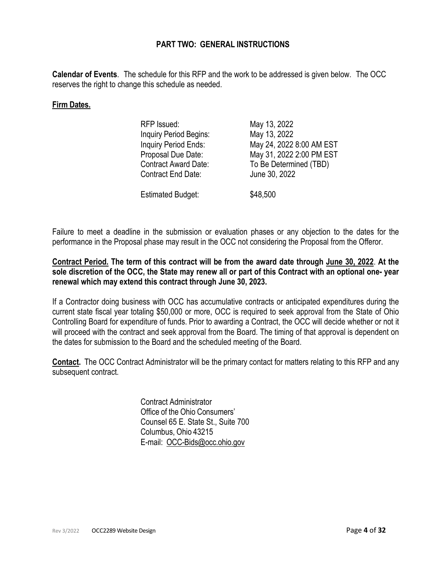## **PART TWO: GENERAL INSTRUCTIONS**

<span id="page-3-0"></span>**Calendar of Events**. The schedule for this RFP and the work to be addressed is given below. The OCC reserves the right to change this schedule as needed.

### **Firm Dates.**

| RFP Issued:                 | May 13, 2022             |
|-----------------------------|--------------------------|
| Inquiry Period Begins:      | May 13, 2022             |
| Inquiry Period Ends:        | May 24, 2022 8:00 AM EST |
| Proposal Due Date:          | May 31, 2022 2:00 PM EST |
| <b>Contract Award Date:</b> | To Be Determined (TBD)   |
| <b>Contract End Date:</b>   | June 30, 2022            |
|                             |                          |
| <b>Estimated Budget:</b>    | \$48,500                 |

Failure to meet a deadline in the submission or evaluation phases or any objection to the dates for the performance in the Proposal phase may result in the OCC not considering the Proposal from the Offeror.

**Contract Period. The term of this contract will be from the award date through June 30, 2022**. **At the sole discretion of the OCC, the State may renew all or part of this Contract with an optional one- year renewal which may extend this contract through June 30, 2023.**

If a Contractor doing business with OCC has accumulative contracts or anticipated expenditures during the current state fiscal year totaling \$50,000 or more, OCC is required to seek approval from the State of Ohio Controlling Board for expenditure of funds. Prior to awarding a Contract, the OCC will decide whether or not it will proceed with the contract and seek approval from the Board. The timing of that approval is dependent on the dates for submission to the Board and the scheduled meeting of the Board.

**Contact.** The OCC Contract Administrator will be the primary contact for matters relating to this RFP and any subsequent contract.

> Contract Administrator Office of the Ohio Consumers' Counsel 65 E. State St., Suite 700 Columbus, Ohio 43215 E-mail: [OCC-Bids@occ.ohio.gov](mailto:OCC-Bids@occ.ohio.gov)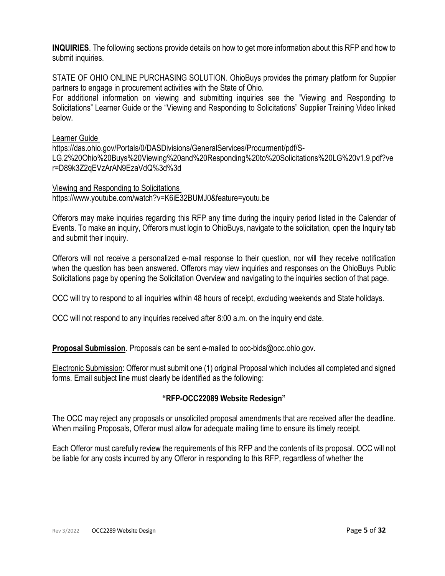**INQUIRIES**. The following sections provide details on how to get more information about this RFP and how to submit inquiries.

STATE OF OHIO ONLINE PURCHASING SOLUTION. OhioBuys provides the primary platform for Supplier partners to engage in procurement activities with the State of Ohio.

For additional information on viewing and submitting inquiries see the "Viewing and Responding to Solicitations" Learner Guide or the "Viewing and Responding to Solicitations" Supplier Training Video linked below.

Learner Guide

https://das.ohio.gov/Portals/0/DASDivisions/GeneralServices/Procurment/pdf/S-LG.2%20Ohio%20Buys%20Viewing%20and%20Responding%20to%20Solicitations%20LG%20v1.9.pdf?ve r=D89k3Z2qEVzArAN9EzaVdQ%3d%3d

Viewing and Responding to Solicitations https://www.youtube.com/watch?v=K6iE32BUMJ0&feature=youtu.be

Offerors may make inquiries regarding this RFP any time during the inquiry period listed in the Calendar of Events. To make an inquiry, Offerors must login to OhioBuys, navigate to the solicitation, open the Inquiry tab and submit their inquiry.

Offerors will not receive a personalized e-mail response to their question, nor will they receive notification when the question has been answered. Offerors may view inquiries and responses on the OhioBuys Public Solicitations page by opening the Solicitation Overview and navigating to the inquiries section of that page.

OCC will try to respond to all inquiries within 48 hours of receipt, excluding weekends and State holidays.

OCC will not respond to any inquiries received after 8:00 a.m. on the inquiry end date.

**Proposal Submission**. Proposals can be sent e-mailed to [occ-bids@occ.ohio.gov.](mailto:occ-bids@occ.ohio.gov)

Electronic Submission: Offeror must submit one (1) original Proposal which includes all completed and signed forms. Email subject line must clearly be identified as the following:

## **"RFP-OCC22089 Website Redesign"**

The OCC may reject any proposals or unsolicited proposal amendments that are received after the deadline. When mailing Proposals, Offeror must allow for adequate mailing time to ensure its timely receipt.

Each Offeror must carefully review the requirements of this RFP and the contents of its proposal. OCC will not be liable for any costs incurred by any Offeror in responding to this RFP, regardless of whether the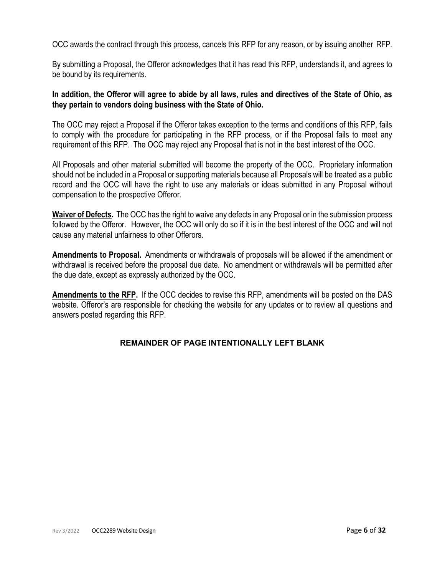OCC awards the contract through this process, cancels this RFP for any reason, or by issuing another RFP.

By submitting a Proposal, the Offeror acknowledges that it has read this RFP, understands it, and agrees to be bound by its requirements.

### **In addition, the Offeror will agree to abide by all laws, rules and directives of the State of Ohio, as they pertain to vendors doing business with the State of Ohio.**

The OCC may reject a Proposal if the Offeror takes exception to the terms and conditions of this RFP, fails to comply with the procedure for participating in the RFP process, or if the Proposal fails to meet any requirement of this RFP. The OCC may reject any Proposal that is not in the best interest of the OCC.

All Proposals and other material submitted will become the property of the OCC. Proprietary information should not be included in a Proposal or supporting materials because all Proposals will be treated as a public record and the OCC will have the right to use any materials or ideas submitted in any Proposal without compensation to the prospective Offeror.

**Waiver of Defects.** The OCC has the right to waive any defects in any Proposal or in the submission process followed by the Offeror. However, the OCC will only do so if it is in the best interest of the OCC and will not cause any material unfairness to other Offerors.

**Amendments to Proposal.** Amendments or withdrawals of proposals will be allowed if the amendment or withdrawal is received before the proposal due date. No amendment or withdrawals will be permitted after the due date, except as expressly authorized by the OCC.

**Amendments to the RFP.** If the OCC decides to revise this RFP, amendments will be posted on the DAS website. Offeror's are responsible for checking the website for any updates or to review all questions and answers posted regarding this RFP.

## **REMAINDER OF PAGE INTENTIONALLY LEFT BLANK**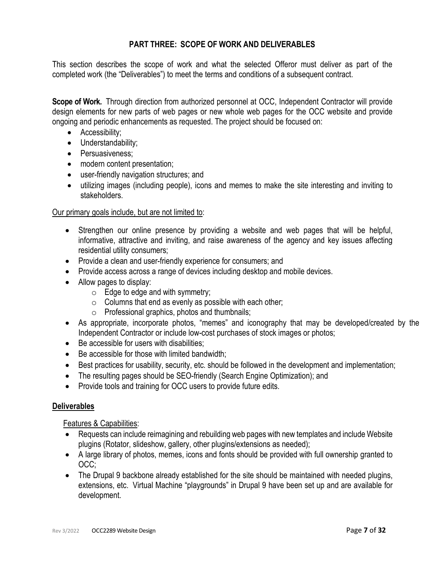## **PART THREE: SCOPE OF WORK AND DELIVERABLES**

<span id="page-6-0"></span>This section describes the scope of work and what the selected Offeror must deliver as part of the completed work (the "Deliverables") to meet the terms and conditions of a subsequent contract.

**Scope of Work.** Through direction from authorized personnel at OCC, Independent Contractor will provide design elements for new parts of web pages or new whole web pages for the OCC website and provide ongoing and periodic enhancements as requested. The project should be focused on:

- Accessibility;
- Understandability;
- Persuasiveness:
- modern content presentation;
- user-friendly navigation structures; and
- utilizing images (including people), icons and memes to make the site interesting and inviting to stakeholders.

## Our primary goals include, but are not limited to:

- Strengthen our online presence by providing a website and web pages that will be helpful, informative, attractive and inviting, and raise awareness of the agency and key issues affecting residential utility consumers;
- Provide a clean and user-friendly experience for consumers; and
- Provide access across a range of devices including desktop and mobile devices.
- Allow pages to display:
	- $\circ$  Edge to edge and with symmetry;
	- $\circ$  Columns that end as evenly as possible with each other;
	- o Professional graphics, photos and thumbnails;
- As appropriate, incorporate photos, "memes" and iconography that may be developed/created by the Independent Contractor or include low-cost purchases of stock images or photos;
- Be accessible for users with disabilities;
- Be accessible for those with limited bandwidth:
- Best practices for usability, security, etc. should be followed in the development and implementation;
- The resulting pages should be SEO-friendly (Search Engine Optimization); and
- Provide tools and training for OCC users to provide future edits.

### **Deliverables**

Features & Capabilities:

- Requests can include reimagining and rebuilding web pages with new templates and include Website plugins (Rotator, slideshow, gallery, other plugins/extensions as needed);
- A large library of photos, memes, icons and fonts should be provided with full ownership granted to OCC;
- The Drupal 9 backbone already established for the site should be maintained with needed plugins, extensions, etc. Virtual Machine "playgrounds" in Drupal 9 have been set up and are available for development.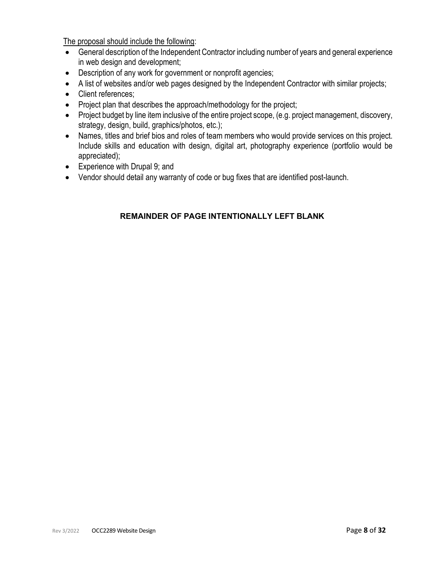The proposal should include the following:

- General description of the Independent Contractor including number of years and general experience in web design and development;
- Description of any work for government or nonprofit agencies;
- A list of websites and/or web pages designed by the Independent Contractor with similar projects;
- Client references:
- Project plan that describes the approach/methodology for the project;
- Project budget by line item inclusive of the entire project scope, (e.g. project management, discovery, strategy, design, build, graphics/photos, etc.);
- Names, titles and brief bios and roles of team members who would provide services on this project. Include skills and education with design, digital art, photography experience (portfolio would be appreciated);
- Experience with Drupal 9; and
- Vendor should detail any warranty of code or bug fixes that are identified post-launch.

## **REMAINDER OF PAGE INTENTIONALLY LEFT BLANK**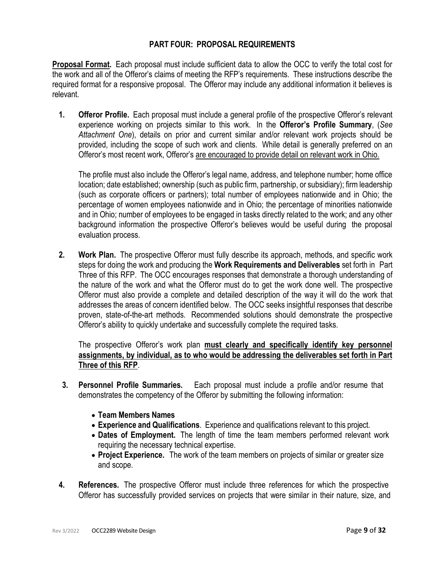## **PART FOUR: PROPOSAL REQUIREMENTS**

<span id="page-8-0"></span>**Proposal Format.** Each proposal must include sufficient data to allow the OCC to verify the total cost for the work and all of the Offeror's claims of meeting the RFP's requirements. These instructions describe the required format for a responsive proposal. The Offeror may include any additional information it believes is relevant.

**1. Offeror Profile.** Each proposal must include a general profile of the prospective Offeror's relevant experience working on projects similar to this work. In the **Offeror's Profile Summary**, (*See Attachment One*), details on prior and current similar and/or relevant work projects should be provided, including the scope of such work and clients. While detail is generally preferred on an Offeror's most recent work, Offeror's are encouraged to provide detail on relevant work in Ohio.

The profile must also include the Offeror's legal name, address, and telephone number; home office location; date established; ownership (such as public firm, partnership, or subsidiary); firm leadership (such as corporate officers or partners); total number of employees nationwide and in Ohio; the percentage of women employees nationwide and in Ohio; the percentage of minorities nationwide and in Ohio; number of employees to be engaged in tasks directly related to the work; and any other background information the prospective Offeror's believes would be useful during the proposal evaluation process.

**2. Work Plan.** The prospective Offeror must fully describe its approach, methods, and specific work steps for doing the work and producing the **Work Requirements and Deliverables** set forth in Part Three of this RFP. The OCC encourages responses that demonstrate a thorough understanding of the nature of the work and what the Offeror must do to get the work done well. The prospective Offeror must also provide a complete and detailed description of the way it will do the work that addresses the areas of concern identified below. The OCC seeks insightful responses that describe proven, state-of-the-art methods. Recommended solutions should demonstrate the prospective Offeror's ability to quickly undertake and successfully complete the required tasks.

The prospective Offeror's work plan **must clearly and specifically identify key personnel assignments, by individual, as to who would be addressing the deliverables set forth in Part Three of this RFP**.

- **3. Personnel Profile Summaries.** Each proposal must include a profile and/or resume that demonstrates the competency of the Offeror by submitting the following information:
	- **Team Members Names**
	- **Experience and Qualifications**. Experience and qualifications relevant to this project.
	- **Dates of Employment.** The length of time the team members performed relevant work requiring the necessary technical expertise.
	- **Project Experience.** The work of the team members on projects of similar or greater size and scope.
- **4. References.** The prospective Offeror must include three references for which the prospective Offeror has successfully provided services on projects that were similar in their nature, size, and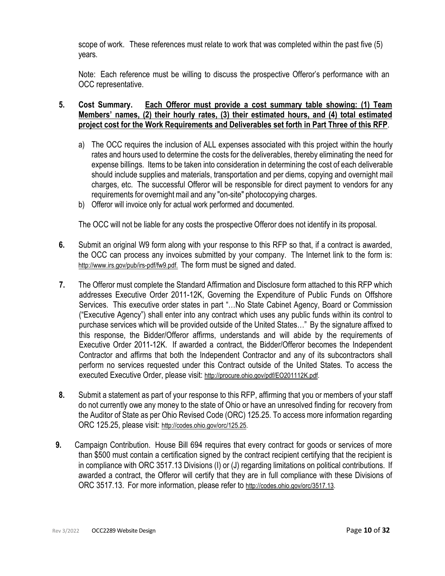scope of work. These references must relate to work that was completed within the past five (5) years.

Note: Each reference must be willing to discuss the prospective Offeror's performance with an OCC representative.

## **5. Cost Summary. Each Offeror must provide a cost summary table showing: (1) Team Members' names, (2) their hourly rates, (3) their estimated hours, and (4) total estimated project cost for the Work Requirements and Deliverables set forth in Part Three of this RFP**.

- a) The OCC requires the inclusion of ALL expenses associated with this project within the hourly rates and hours used to determine the costs for the deliverables, thereby eliminating the need for expense billings. Items to be taken into consideration in determining the cost of each deliverable should include supplies and materials, transportation and per diems, copying and overnight mail charges, etc. The successful Offeror will be responsible for direct payment to vendors for any requirements for overnight mail and any "on-site" photocopying charges.
- b) Offeror will invoice only for actual work performed and documented.

The OCC will not be liable for any costs the prospective Offeror does not identify in its proposal.

- **6.** Submit an original W9 form along with your response to this RFP so that, if a contract is awarded, the OCC can process any invoices submitted by your company. The Internet link to the form is: [http://www.irs.gov/pub/irs-pdf/fw9.pdf.](http://www.irs.gov/pub/irs-pdf/fw9.pdf) The form must be signed and dated.
- **7.** The Offeror must complete the Standard Affirmation and Disclosure form attached to this RFP which addresses Executive Order 2011-12K, Governing the Expenditure of Public Funds on Offshore Services. This executive order states in part "…No State Cabinet Agency, Board or Commission ("Executive Agency") shall enter into any contract which uses any public funds within its control to purchase services which will be provided outside of the United States…" By the signature affixed to this response, the Bidder/Offeror affirms, understands and will abide by the requirements of Executive Order 2011-12K. If awarded a contract, the Bidder/Offeror becomes the Independent Contractor and affirms that both the Independent Contractor and any of its subcontractors shall perform no services requested under this Contract outside of the United States. To access the executed Executive Order, please visit: [http://procure.ohio.gov/pdf/EO201112K.pdf.](http://procure.ohio.gov/pdf/EO201112K.pdf)
- **8.** Submit a statement as part of your response to this RFP, affirming that you or members of your staff do not currently owe any money to the state of Ohio or have an unresolved finding for recovery from the Auditor of State as per Ohio Revised Code (ORC) 125.25. To access more information regarding ORC 125.25, please visit: [http://codes.ohio.gov/orc/125.25.](http://codes.ohio.gov/orc/125.25)
- **9.** Campaign Contribution. House Bill 694 requires that every contract for goods or services of more than \$500 must contain a certification signed by the contract recipient certifying that the recipient is in compliance with ORC 3517.13 Divisions (I) or (J) regarding limitations on political contributions. If awarded a contract, the Offeror will certify that they are in full compliance with these Divisions of ORC 3517.13. For more information, please refer to [http://codes.ohio.gov/orc/3517.13.](http://codes.ohio.gov/orc/3517.13)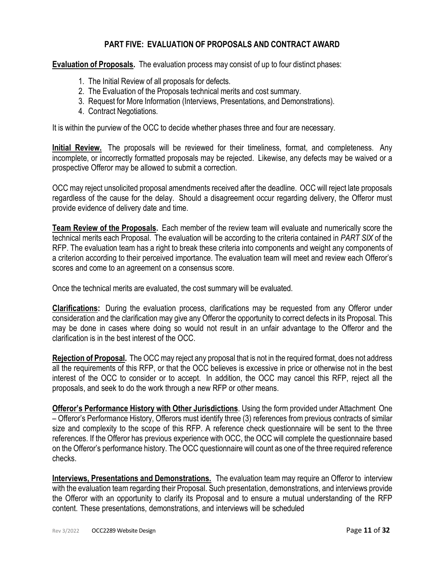## **PART FIVE: EVALUATION OF PROPOSALS AND CONTRACT AWARD**

**Evaluation of Proposals.** The evaluation process may consist of up to four distinct phases:

- 1. The Initial Review of all proposals for defects.
- 2. The Evaluation of the Proposals technical merits and cost summary.
- 3. Request for More Information (Interviews, Presentations, and Demonstrations).
- 4. Contract Negotiations.

It is within the purview of the OCC to decide whether phases three and four are necessary.

**Initial Review.** The proposals will be reviewed for their timeliness, format, and completeness. Any incomplete, or incorrectly formatted proposals may be rejected. Likewise, any defects may be waived or a prospective Offeror may be allowed to submit a correction.

OCC may reject unsolicited proposal amendments received after the deadline. OCC will reject late proposals regardless of the cause for the delay. Should a disagreement occur regarding delivery, the Offeror must provide evidence of delivery date and time.

**Team Review of the Proposals.** Each member of the review team will evaluate and numerically score the technical merits each Proposal. The evaluation will be according to the criteria contained in *PART SIX* of the RFP. The evaluation team has a right to break these criteria into components and weight any components of a criterion according to their perceived importance. The evaluation team will meet and review each Offeror's scores and come to an agreement on a consensus score.

Once the technical merits are evaluated, the cost summary will be evaluated.

**Clarifications:** During the evaluation process, clarifications may be requested from any Offeror under consideration and the clarification may give any Offeror the opportunity to correct defects in its Proposal. This may be done in cases where doing so would not result in an unfair advantage to the Offeror and the clarification is in the best interest of the OCC.

**Rejection of Proposal.** The OCC may reject any proposal that is not in the required format, does not address all the requirements of this RFP, or that the OCC believes is excessive in price or otherwise not in the best interest of the OCC to consider or to accept. In addition, the OCC may cancel this RFP, reject all the proposals, and seek to do the work through a new RFP or other means.

**Offeror's Performance History with Other Jurisdictions**. Using the form provided under Attachment One – Offeror's Performance History, Offerors must identify three (3) references from previous contracts of similar size and complexity to the scope of this RFP. A reference check questionnaire will be sent to the three references. If the Offeror has previous experience with OCC, the OCC will complete the questionnaire based on the Offeror's performance history. The OCC questionnaire will count as one of the three required reference checks.

**Interviews, Presentations and Demonstrations.** The evaluation team may require an Offeror to interview with the evaluation team regarding their Proposal. Such presentation, demonstrations, and interviews provide the Offeror with an opportunity to clarify its Proposal and to ensure a mutual understanding of the RFP content. These presentations, demonstrations, and interviews will be scheduled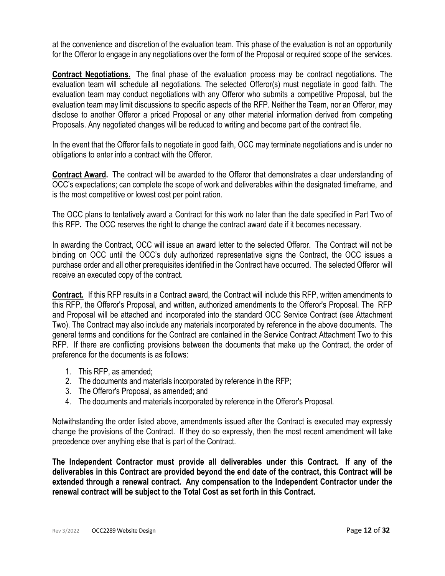at the convenience and discretion of the evaluation team. This phase of the evaluation is not an opportunity for the Offeror to engage in any negotiations over the form of the Proposal or required scope of the services.

**Contract Negotiations.** The final phase of the evaluation process may be contract negotiations. The evaluation team will schedule all negotiations. The selected Offeror(s) must negotiate in good faith. The evaluation team may conduct negotiations with any Offeror who submits a competitive Proposal, but the evaluation team may limit discussions to specific aspects of the RFP. Neither the Team, nor an Offeror, may disclose to another Offeror a priced Proposal or any other material information derived from competing Proposals. Any negotiated changes will be reduced to writing and become part of the contract file.

In the event that the Offeror fails to negotiate in good faith, OCC may terminate negotiations and is under no obligations to enter into a contract with the Offeror.

**Contract Award.** The contract will be awarded to the Offeror that demonstrates a clear understanding of OCC's expectations; can complete the scope of work and deliverables within the designated timeframe, and is the most competitive or lowest cost per point ration.

The OCC plans to tentatively award a Contract for this work no later than the date specified in Part Two of this RFP**.** The OCC reserves the right to change the contract award date if it becomes necessary.

In awarding the Contract, OCC will issue an award letter to the selected Offeror. The Contract will not be binding on OCC until the OCC's duly authorized representative signs the Contract, the OCC issues a purchase order and all other prerequisites identified in the Contract have occurred. The selected Offeror will receive an executed copy of the contract.

**Contract.** If this RFP results in a Contract award, the Contract will include this RFP, written amendments to this RFP, the Offeror's Proposal, and written, authorized amendments to the Offeror's Proposal. The RFP and Proposal will be attached and incorporated into the standard OCC Service Contract (see Attachment Two). The Contract may also include any materials incorporated by reference in the above documents. The general terms and conditions for the Contract are contained in the Service Contract Attachment Two to this RFP. If there are conflicting provisions between the documents that make up the Contract, the order of preference for the documents is as follows:

- 1. This RFP, as amended;
- 2. The documents and materials incorporated by reference in the RFP;
- 3. The Offeror's Proposal, as amended; and
- 4. The documents and materials incorporated by reference in the Offeror's Proposal.

Notwithstanding the order listed above, amendments issued after the Contract is executed may expressly change the provisions of the Contract. If they do so expressly, then the most recent amendment will take precedence over anything else that is part of the Contract.

**The Independent Contractor must provide all deliverables under this Contract. If any of the deliverables in this Contract are provided beyond the end date of the contract, this Contract will be extended through a renewal contract. Any compensation to the Independent Contractor under the renewal contract will be subject to the Total Cost as set forth in this Contract.**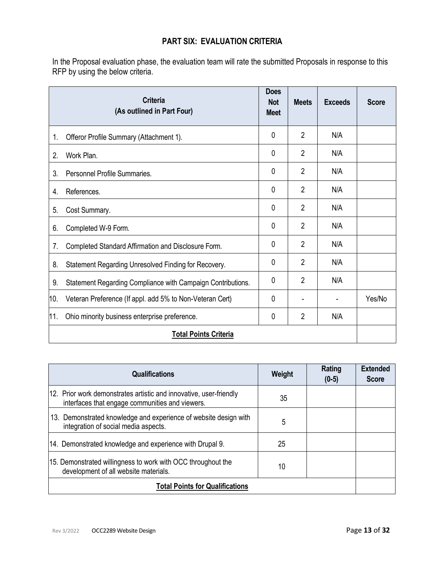## **PART SIX: EVALUATION CRITERIA**

In the Proposal evaluation phase, the evaluation team will rate the submitted Proposals in response to this RFP by using the below criteria.

|     | <b>Criteria</b><br>(As outlined in Part Four)               | <b>Does</b><br><b>Not</b><br><b>Meet</b> | <b>Meets</b>   | <b>Exceeds</b> | <b>Score</b> |
|-----|-------------------------------------------------------------|------------------------------------------|----------------|----------------|--------------|
| 1.  | Offeror Profile Summary (Attachment 1).                     | 0                                        | $\overline{2}$ | N/A            |              |
| 2.  | Work Plan.                                                  | 0                                        | $\overline{2}$ | N/A            |              |
| 3.  | Personnel Profile Summaries.                                | 0                                        | $\overline{2}$ | N/A            |              |
| 4.  | References.                                                 | 0                                        | $\overline{2}$ | N/A            |              |
| 5.  | Cost Summary.                                               | 0                                        | $\overline{2}$ | N/A            |              |
| 6.  | Completed W-9 Form.                                         | 0                                        | $\overline{2}$ | N/A            |              |
| 7.  | Completed Standard Affirmation and Disclosure Form.         | 0                                        | $\overline{2}$ | N/A            |              |
| 8.  | Statement Regarding Unresolved Finding for Recovery.        | 0                                        | $\overline{2}$ | N/A            |              |
| 9.  | Statement Regarding Compliance with Campaign Contributions. | 0                                        | $\overline{2}$ | N/A            |              |
| 10. | Veteran Preference (If appl. add 5% to Non-Veteran Cert)    | 0                                        |                |                | Yes/No       |
| 11. | Ohio minority business enterprise preference.               | 0                                        | $\overline{2}$ | N/A            |              |
|     | <b>Total Points Criteria</b>                                |                                          |                |                |              |

| <b>Qualifications</b>                                                                                                 | Weight | Rating<br>$(0-5)$ | <b>Extended</b><br><b>Score</b> |
|-----------------------------------------------------------------------------------------------------------------------|--------|-------------------|---------------------------------|
| 12. Prior work demonstrates artistic and innovative, user-friendly<br>interfaces that engage communities and viewers. | 35     |                   |                                 |
| 13. Demonstrated knowledge and experience of website design with<br>integration of social media aspects.              | 5      |                   |                                 |
| 14. Demonstrated knowledge and experience with Drupal 9.                                                              | 25     |                   |                                 |
| 15. Demonstrated willingness to work with OCC throughout the<br>development of all website materials.                 | 10     |                   |                                 |
| <b>Total Points for Qualifications</b>                                                                                |        |                   |                                 |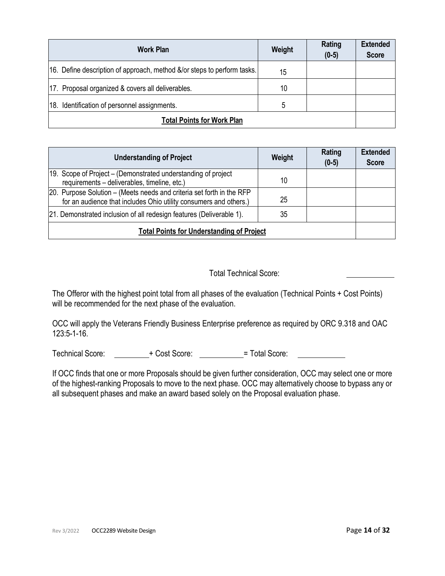| <b>Work Plan</b>                                                        | Weight | Rating<br>$(0-5)$ | <b>Extended</b><br><b>Score</b> |
|-------------------------------------------------------------------------|--------|-------------------|---------------------------------|
| 16. Define description of approach, method &/or steps to perform tasks. | 15     |                   |                                 |
| 17. Proposal organized & covers all deliverables.                       | 10     |                   |                                 |
| 18. Identification of personnel assignments.                            | 5      |                   |                                 |
| <b>Total Points for Work Plan</b>                                       |        |                   |                                 |

| <b>Understanding of Project</b>                                                                                                            | Weight | Rating<br>$(0-5)$ | <b>Extended</b><br><b>Score</b> |
|--------------------------------------------------------------------------------------------------------------------------------------------|--------|-------------------|---------------------------------|
| 19. Scope of Project – (Demonstrated understanding of project<br>requirements - deliverables, timeline, etc.)                              | 10     |                   |                                 |
| 20. Purpose Solution - (Meets needs and criteria set forth in the RFP<br>for an audience that includes Ohio utility consumers and others.) | 25     |                   |                                 |
| [21. Demonstrated inclusion of all redesign features (Deliverable 1).                                                                      | 35     |                   |                                 |
| <b>Total Points for Understanding of Project</b>                                                                                           |        |                   |                                 |

## Total Technical Score:

The Offeror with the highest point total from all phases of the evaluation (Technical Points + Cost Points) will be recommended for the next phase of the evaluation.

OCC will apply the Veterans Friendly Business Enterprise preference as required by ORC 9.318 and OAC 123:5-1-16.

Technical Score: + Cost Score: + Cost Score: = Total Score:

If OCC finds that one or more Proposals should be given further consideration, OCC may select one or more of the highest-ranking Proposals to move to the next phase. OCC may alternatively choose to bypass any or all subsequent phases and make an award based solely on the Proposal evaluation phase.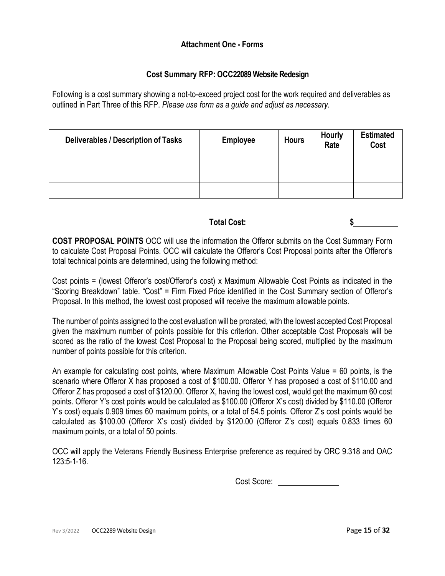## **Attachment One - Forms**

## **Cost Summary RFP: OCC22089 Website Redesign**

Following is a cost summary showing a not-to-exceed project cost for the work required and deliverables as outlined in Part Three of this RFP. *Please use form as a guide and adjust as necessary*.

| <b>Deliverables / Description of Tasks</b> | <b>Employee</b> | <b>Hours</b> | <b>Hourly</b><br>Rate | <b>Estimated</b><br>Cost |
|--------------------------------------------|-----------------|--------------|-----------------------|--------------------------|
|                                            |                 |              |                       |                          |
|                                            |                 |              |                       |                          |
|                                            |                 |              |                       |                          |

## **Total Cost: \$**

**COST PROPOSAL POINTS** OCC will use the information the Offeror submits on the Cost Summary Form to calculate Cost Proposal Points. OCC will calculate the Offeror's Cost Proposal points after the Offeror's total technical points are determined, using the following method:

Cost points = (lowest Offeror's cost/Offeror's cost) x Maximum Allowable Cost Points as indicated in the "Scoring Breakdown" table. "Cost" = Firm Fixed Price identified in the Cost Summary section of Offeror's Proposal. In this method, the lowest cost proposed will receive the maximum allowable points.

The number of points assigned to the cost evaluation will be prorated, with the lowest accepted Cost Proposal given the maximum number of points possible for this criterion. Other acceptable Cost Proposals will be scored as the ratio of the lowest Cost Proposal to the Proposal being scored, multiplied by the maximum number of points possible for this criterion.

An example for calculating cost points, where Maximum Allowable Cost Points Value = 60 points, is the scenario where Offeror X has proposed a cost of \$100.00. Offeror Y has proposed a cost of \$110.00 and Offeror Z has proposed a cost of \$120.00. Offeror X, having the lowest cost, would get the maximum 60 cost points. Offeror Y's cost points would be calculated as \$100.00 (Offeror X's cost) divided by \$110.00 (Offeror Y's cost) equals 0.909 times 60 maximum points, or a total of 54.5 points. Offeror Z's cost points would be calculated as \$100.00 (Offeror X's cost) divided by \$120.00 (Offeror Z's cost) equals 0.833 times 60 maximum points, or a total of 50 points.

OCC will apply the Veterans Friendly Business Enterprise preference as required by ORC 9.318 and OAC 123:5-1-16.

Cost Score: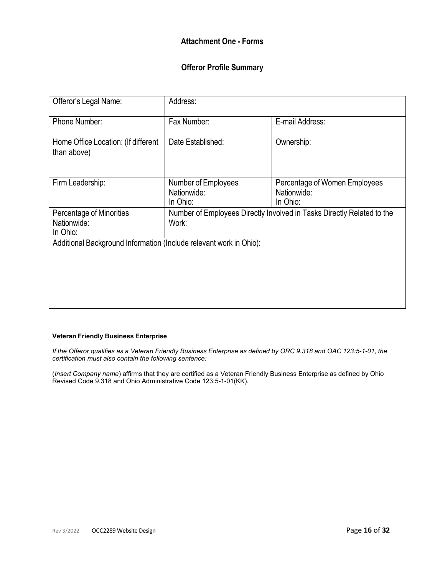## **Attachment One - Forms**

## **Offeror Profile Summary**

| Offeror's Legal Name:                                              | Address:                                       |                                                                        |
|--------------------------------------------------------------------|------------------------------------------------|------------------------------------------------------------------------|
| Phone Number:                                                      | Fax Number:                                    | E-mail Address:                                                        |
| Home Office Location: (If different<br>than above)                 | Date Established:                              | Ownership:                                                             |
| Firm Leadership:                                                   | Number of Employees<br>Nationwide:<br>In Ohio: | Percentage of Women Employees<br>Nationwide:<br>In Ohio:               |
| Percentage of Minorities<br>Nationwide:<br>In Ohio:                | Work:                                          | Number of Employees Directly Involved in Tasks Directly Related to the |
| Additional Background Information (Include relevant work in Ohio): |                                                |                                                                        |

### **Veteran Friendly Business Enterprise**

If the Offeror qualifies as a Veteran Friendly Business Enterprise as defined by ORC 9.318 and OAC 123:5-1-01, the *certification must also contain the following sentence:*

(*Insert Company name*) affirms that they are certified as a Veteran Friendly Business Enterprise as defined by Ohio Revised Code 9.318 and Ohio Administrative Code 123:5-1-01(KK).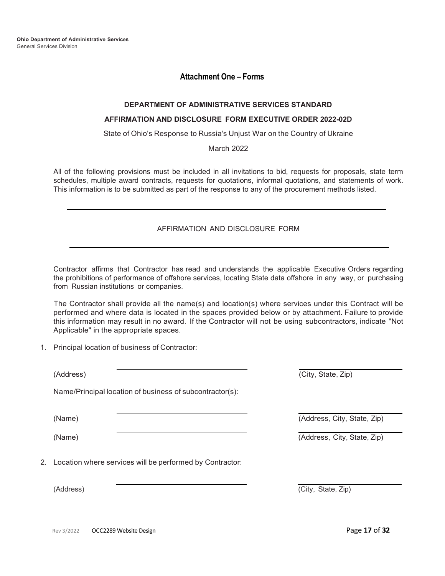**Ohio Department of Administrative Services** General Services Division

### **Attachment One – Forms**

### **DEPARTMENT OF ADMINISTRATIVE SERVICES STANDARD**

### **AFFIRMATION AND DISCLOSURE FORM EXECUTIVE ORDER 2022-02D**

State of Ohio's Response to Russia's Unjust War on the Country of Ukraine

March 2022

All of the following provisions must be included in all invitations to bid, requests for proposals, state term schedules, multiple award contracts, requests for quotations, informal quotations, and statements of work. This information is to be submitted as part of the response to any of the procurement methods listed.

### AFFIRMATION AND DISCLOSURE FORM

Contractor affirms that Contractor has read and understands the applicable Executive Orders regarding the prohibitions of performance of offshore services, locating State data offshore in any way, or purchasing from Russian institutions or companies.

The Contractor shall provide all the name(s) and location(s) where services under this Contract will be performed and where data is located in the spaces provided below or by attachment. Failure to provide this information may result in no award. If the Contractor will not be using subcontractors, indicate "Not Applicable" in the appropriate spaces.

1. Principal location of business of Contractor:

| (Address)                                                   | (City, State, Zip)          |  |
|-------------------------------------------------------------|-----------------------------|--|
| Name/Principal location of business of subcontractor(s):    |                             |  |
| (Name)                                                      | (Address, City, State, Zip) |  |
| (Name)                                                      | (Address, City, State, Zip) |  |
| 2. Location where services will be performed by Contractor: |                             |  |
| (Address)                                                   | (City, State, Zip)          |  |
|                                                             |                             |  |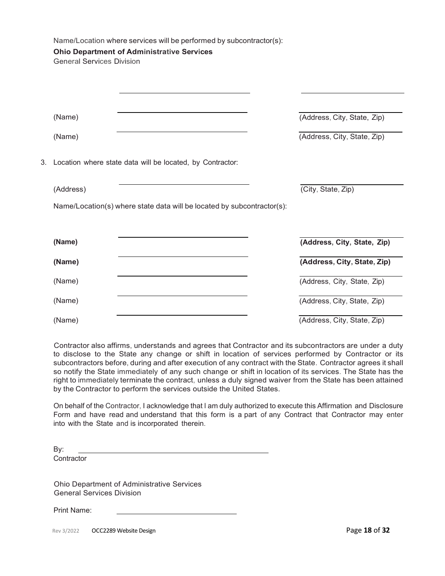|    | <b>General Services Division</b> | Name/Location where services will be performed by subcontractor(s):<br><b>Ohio Department of Administrative Services</b> |                             |
|----|----------------------------------|--------------------------------------------------------------------------------------------------------------------------|-----------------------------|
|    |                                  |                                                                                                                          |                             |
|    | (Name)                           |                                                                                                                          | (Address, City, State, Zip) |
|    | (Name)                           |                                                                                                                          | (Address, City, State, Zip) |
| 3. |                                  | Location where state data will be located, by Contractor:                                                                |                             |
|    | (Address)                        |                                                                                                                          | (City, State, Zip)          |
|    |                                  | Name/Location(s) where state data will be located by subcontractor(s):                                                   |                             |
|    | (Name)                           |                                                                                                                          | (Address, City, State, Zip) |
|    | (Name)                           |                                                                                                                          | (Address, City, State, Zip) |
|    | (Name)                           |                                                                                                                          | (Address, City, State, Zip) |
|    | (Name)                           |                                                                                                                          | (Address, City, State, Zip) |
|    | (Name)                           |                                                                                                                          | (Address, City, State, Zip) |

Contractor also affirms, understands and agrees that Contractor and its subcontractors are under a duty to disclose to the State any change or shift in location of services performed by Contractor or its subcontractors before, during and after execution of any contract with the State. Contractor agrees it shall so notify the State immediately of any such change or shift in location of its services. The State has the right to immediately terminate the contract, unless a duly signed waiver from the State has been attained by the Contractor to perform the services outside the United States.

On behalf of the Contractor, I acknowledge that I am duly authorized to execute this Affirmation and Disclosure Form and have read and understand that this form is a part of any Contract that Contractor may enter into with the State and is incorporated therein.

By: **Contractor** 

Ohio Department of Administrative Services General Services Division

Print Name:

Rev 3/2022 **OCC2289 Website Design Page 18 of <b>32** and **Page 18 of <b>32** and **Page 18** of **32**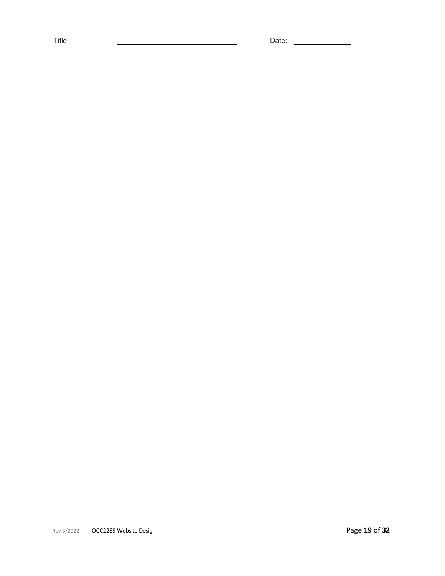Title: Date: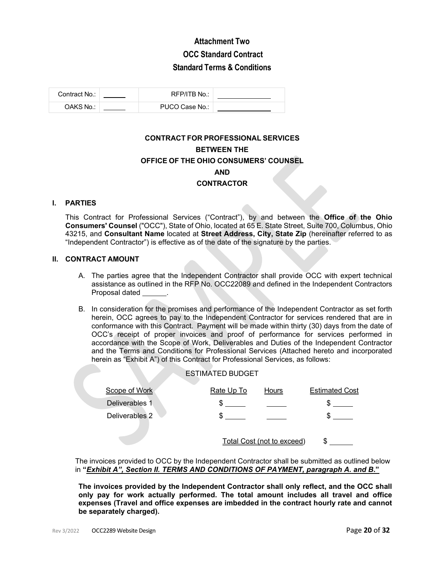## **Attachment Two OCC Standard Contract Standard Terms & Conditions**

| Contract No.: | RFP/ITB No.:   |  |
|---------------|----------------|--|
| OAKS No.:     | PUCO Case No.: |  |

## **CONTRACT FOR PROFESSIONAL SERVICES BETWEEN THE OFFICE OF THE OHIO CONSUMERS' COUNSEL AND CONTRACTOR**

### **I. PARTIES**

This Contract for Professional Services ("Contract"), by and between the **Office of the Ohio Consumers' Counsel** ("OCC"), State of Ohio, located at 65 E. State Street, Suite 700, Columbus, Ohio 43215, and **Consultant Name** located at **Street Address, City, State Zip** (hereinafter referred to as "Independent Contractor") is effective as of the date of the signature by the parties.

### **II. CONTRACT AMOUNT**

- A. The parties agree that the Independent Contractor shall provide OCC with expert technical assistance as outlined in the RFP No. OCC22089 and defined in the Independent Contractors Proposal dated
- B. In consideration for the promises and performance of the Independent Contractor as set forth herein, OCC agrees to pay to the Independent Contractor for services rendered that are in conformance with this Contract. Payment will be made within thirty (30) days from the date of OCC's receipt of proper invoices and proof of performance for services performed in accordance with the Scope of Work, Deliverables and Duties of the Independent Contractor and the Terms and Conditions for Professional Services (Attached hereto and incorporated herein as "Exhibit A") of this Contract for Professional Services, as follows:

|                | <b>ESTIMATED BUDGET</b> |                                   |                       |
|----------------|-------------------------|-----------------------------------|-----------------------|
| Scope of Work  | Rate Up To              | <b>Hours</b>                      | <b>Estimated Cost</b> |
| Deliverables 1 | ъ.                      |                                   |                       |
| Deliverables 2 | æ.                      |                                   |                       |
|                |                         | <b>Total Cost (not to exceed)</b> |                       |

The invoices provided to OCC by the Independent Contractor shall be submitted as outlined below in **"***Exhibit A", Section II. TERMS AND CONDITIONS OF PAYMENT, paragraph A. and B***."**

**The invoices provided by the Independent Contractor shall only reflect, and the OCC shall only pay for work actually performed. The total amount includes all travel and office expenses (Travel and office expenses are imbedded in the contract hourly rate and cannot be separately charged).**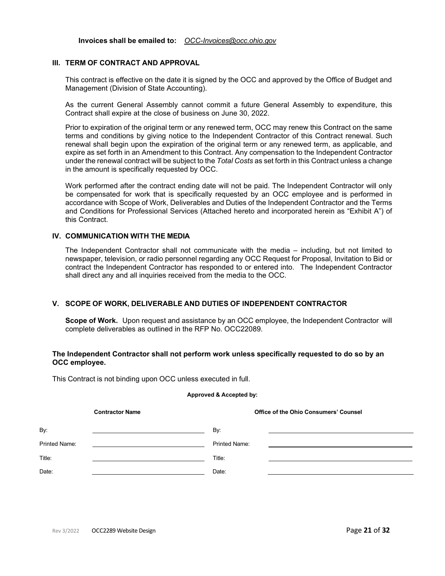**Invoices shall be emailed to:** *[OCC-Invoices@occ.ohio.gov](mailto:OCC-Invoices@occ.ohio.gov)*

### **III. TERM OF CONTRACT AND APPROVAL**

This contract is effective on the date it is signed by the OCC and approved by the Office of Budget and Management (Division of State Accounting).

As the current General Assembly cannot commit a future General Assembly to expenditure, this Contract shall expire at the close of business on June 30, 2022.

Prior to expiration of the original term or any renewed term, OCC may renew this Contract on the same terms and conditions by giving notice to the Independent Contractor of this Contract renewal. Such renewal shall begin upon the expiration of the original term or any renewed term, as applicable, and expire as set forth in an Amendment to this Contract. Any compensation to the Independent Contractor under the renewal contract will be subject to the *Total Costs* as set forth in this Contract unless a change in the amount is specifically requested by OCC.

Work performed after the contract ending date will not be paid. The Independent Contractor will only be compensated for work that is specifically requested by an OCC employee and is performed in accordance with Scope of Work, Deliverables and Duties of the Independent Contractor and the Terms and Conditions for Professional Services (Attached hereto and incorporated herein as "Exhibit A") of this Contract.

### **IV. COMMUNICATION WITH THE MEDIA**

The Independent Contractor shall not communicate with the media – including, but not limited to newspaper, television, or radio personnel regarding any OCC Request for Proposal, Invitation to Bid or contract the Independent Contractor has responded to or entered into. The Independent Contractor shall direct any and all inquiries received from the media to the OCC.

### **V. SCOPE OF WORK, DELIVERABLE AND DUTIES OF INDEPENDENT CONTRACTOR**

**Scope of Work.** Upon request and assistance by an OCC employee, the Independent Contractor will complete deliverables as outlined in the RFP No. OCC22089.

### **The Independent Contractor shall not perform work unless specifically requested to do so by an OCC employee.**

This Contract is not binding upon OCC unless executed in full.

#### **Approved & Accepted by:**

| <b>Contractor Name</b> |  | Office of the Ohio Consumers' Counsel |  |  |
|------------------------|--|---------------------------------------|--|--|
| By:                    |  | By:                                   |  |  |
| <b>Printed Name:</b>   |  | <b>Printed Name:</b>                  |  |  |
| Title:                 |  | Title:                                |  |  |
| Date:                  |  | Date:                                 |  |  |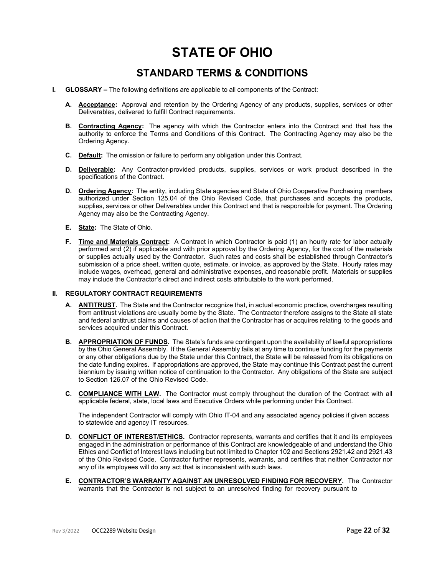# **STATE OF OHIO**

## **STANDARD TERMS & CONDITIONS**

- **I. GLOSSARY** The following definitions are applicable to all components of the Contract:
	- **A. Acceptance:** Approval and retention by the Ordering Agency of any products, supplies, services or other Deliverables, delivered to fulfill Contract requirements.
	- **B. Contracting Agency:** The agency with which the Contractor enters into the Contract and that has the authority to enforce the Terms and Conditions of this Contract. The Contracting Agency may also be the Ordering Agency.
	- **C. Default:** The omission or failure to perform any obligation under this Contract.
	- **D. Deliverable:** Any Contractor-provided products, supplies, services or work product described in the specifications of the Contract.
	- **D. Ordering Agency:** The entity, including State agencies and State of Ohio Cooperative Purchasing members authorized under Section 125.04 of the Ohio Revised Code, that purchases and accepts the products, supplies, services or other Deliverables under this Contract and that is responsible for payment. The Ordering Agency may also be the Contracting Agency.
	- **E. State:** The State of Ohio.
	- **F. Time and Materials Contract:** A Contract in which Contractor is paid (1) an hourly rate for labor actually performed and (2) if applicable and with prior approval by the Ordering Agency, for the cost of the materials or supplies actually used by the Contractor. Such rates and costs shall be established through Contractor's submission of a price sheet, written quote, estimate, or invoice, as approved by the State. Hourly rates may include wages, overhead, general and administrative expenses, and reasonable profit. Materials or supplies may include the Contractor's direct and indirect costs attributable to the work performed.

#### **II. REGULATORY CONTRACT REQUIREMENTS**

- **A. ANTITRUST.** The State and the Contractor recognize that, in actual economic practice, overcharges resulting from antitrust violations are usually borne by the State. The Contractor therefore assigns to the State all state and federal antitrust claims and causes of action that the Contractor has or acquires relating to the goods and services acquired under this Contract.
- **B. APPROPRIATION OF FUNDS.** The State's funds are contingent upon the availability of lawful appropriations by the Ohio General Assembly. If the General Assembly fails at any time to continue funding for the payments or any other obligations due by the State under this Contract, the State will be released from its obligations on the date funding expires. If appropriations are approved, the State may continue this Contract past the current biennium by issuing written notice of continuation to the Contractor. Any obligations of the State are subject to Section 126.07 of the Ohio Revised Code.
- **C. COMPLIANCE WITH LAW.** The Contractor must comply throughout the duration of the Contract with all applicable federal, state, local laws and Executive Orders while performing under this Contract.

The independent Contractor will comply with Ohio IT-04 and any associated agency policies if given access to statewide and agency IT resources.

- **D. CONFLICT OF INTEREST/ETHICS.** Contractor represents, warrants and certifies that it and its employees engaged in the administration or performance of this Contract are knowledgeable of and understand the Ohio Ethics and Conflict of Interest laws including but not limited to Chapter 102 and Sections 2921.42 and 2921.43 of the Ohio Revised Code. Contractor further represents, warrants, and certifies that neither Contractor nor any of its employees will do any act that is inconsistent with such laws.
- **E. CONTRACTOR'S WARRANTY AGAINST AN UNRESOLVED FINDING FOR RECOVERY.** The Contractor warrants that the Contractor is not subject to an unresolved finding for recovery pursuant to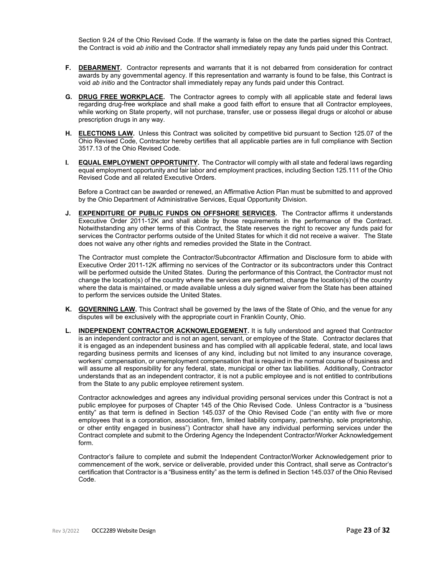Section 9.24 of the Ohio Revised Code. If the warranty is false on the date the parties signed this Contract, the Contract is void *ab initio* and the Contractor shall immediately repay any funds paid under this Contract.

- **F. DEBARMENT.** Contractor represents and warrants that it is not debarred from consideration for contract awards by any governmental agency. If this representation and warranty is found to be false, this Contract is void *ab initio* and the Contractor shall immediately repay any funds paid under this Contract.
- **G. DRUG FREE WORKPLACE.** The Contractor agrees to comply with all applicable state and federal laws regarding drug-free workplace and shall make a good faith effort to ensure that all Contractor employees, while working on State property, will not purchase, transfer, use or possess illegal drugs or alcohol or abuse prescription drugs in any way.
- **H. ELECTIONS LAW.** Unless this Contract was solicited by competitive bid pursuant to Section 125.07 of the Ohio Revised Code, Contractor hereby certifies that all applicable parties are in full compliance with Section 3517.13 of the Ohio Revised Code.
- **I. EQUAL EMPLOYMENT OPPORTUNITY**. The Contractor will comply with all state and federal laws regarding equal employment opportunity and fair labor and employment practices, including Section 125.111 of the Ohio Revised Code and all related Executive Orders.

Before a Contract can be awarded or renewed, an Affirmative Action Plan must be submitted to and approved by the Ohio Department of Administrative Services, Equal Opportunity Division.

**J. EXPENDITURE OF PUBLIC FUNDS ON OFFSHORE SERVICES.** The Contractor affirms it understands Executive Order 2011-12K and shall abide by those requirements in the performance of the Contract. Notwithstanding any other terms of this Contract, the State reserves the right to recover any funds paid for services the Contractor performs outside of the United States for which it did not receive a waiver. The State does not waive any other rights and remedies provided the State in the Contract.

The Contractor must complete the Contractor/Subcontractor Affirmation and Disclosure form to abide with Executive Order 2011-12K affirming no services of the Contractor or its subcontractors under this Contract will be performed outside the United States. During the performance of this Contract, the Contractor must not change the location(s) of the country where the services are performed, change the location(s) of the country where the data is maintained, or made available unless a duly signed waiver from the State has been attained to perform the services outside the United States.

- **K. GOVERNING LAW.** This Contract shall be governed by the laws of the State of Ohio, and the venue for any disputes will be exclusively with the appropriate court in Franklin County, Ohio.
- **L. INDEPENDENT CONTRACTOR ACKNOWLEDGEMENT.** It is fully understood and agreed that Contractor is an independent contractor and is not an agent, servant, or employee of the State. Contractor declares that it is engaged as an independent business and has complied with all applicable federal, state, and local laws regarding business permits and licenses of any kind, including but not limited to any insurance coverage, workers' compensation, or unemployment compensation that is required in the normal course of business and will assume all responsibility for any federal, state, municipal or other tax liabilities. Additionally, Contractor understands that as an independent contractor, it is not a public employee and is not entitled to contributions from the State to any public employee retirement system.

Contractor acknowledges and agrees any individual providing personal services under this Contract is not a public employee for purposes of Chapter 145 of the Ohio Revised Code. Unless Contractor is a "business entity" as that term is defined in Section 145.037 of the Ohio Revised Code ("an entity with five or more employees that is a corporation, association, firm, limited liability company, partnership, sole proprietorship, or other entity engaged in business") Contractor shall have any individual performing services under the Contract complete and submit to the Ordering Agency the Independent Contractor/Worker Acknowledgement form.

Contractor's failure to complete and submit the Independent Contractor/Worker Acknowledgement prior to commencement of the work, service or deliverable, provided under this Contract, shall serve as Contractor's certification that Contractor is a "Business entity" as the term is defined in Section 145.037 of the Ohio Revised Code.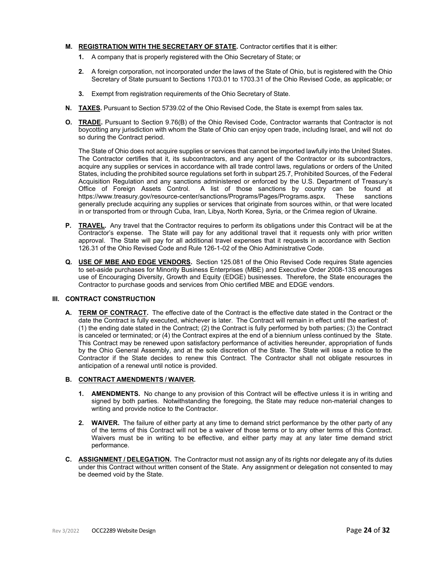### **M. REGISTRATION WITH THE SECRETARY OF STATE.** Contractor certifies that it is either:

- **1.** A company that is properly registered with the Ohio Secretary of State; or
- **2.** A foreign corporation, not incorporated under the laws of the State of Ohio, but is registered with the Ohio Secretary of State pursuant to Sections 1703.01 to 1703.31 of the Ohio Revised Code, as applicable; or
- **3.** Exempt from registration requirements of the Ohio Secretary of State.
- **N. TAXES.** Pursuant to Section 5739.02 of the Ohio Revised Code, the State is exempt from sales tax.
- **O. TRADE.** Pursuant to Section 9.76(B) of the Ohio Revised Code, Contractor warrants that Contractor is not boycotting any jurisdiction with whom the State of Ohio can enjoy open trade, including Israel, and will not do so during the Contract period.

The State of Ohio does not acquire supplies or services that cannot be imported lawfully into the United States. The Contractor certifies that it, its subcontractors, and any agent of the Contractor or its subcontractors, acquire any supplies or services in accordance with all trade control laws, regulations or orders of the United States, including the prohibited source regulations set forth in subpart 25.7, Prohibited Sources, of the Federal Acquisition Regulation and any sanctions administered or enforced by the U.S. Department of Treasury's Office of Foreign Assets Control. A list of those sanctions by country can be found at Office of those sanctions<br>https://www.treasury.gov/resource-center/sanctions/Programs/Pages/Programs.aspx. These sanctions https:/[/www.treasury.gov/resource-center/sanctions/Programs/Pages/Programs.aspx.](http://www.treasury.gov/resource-center/sanctions/Programs/Pages/Programs.aspx) These generally preclude acquiring any supplies or services that originate from sources within, or that were located in or transported from or through Cuba, Iran, Libya, North Korea, Syria, or the Crimea region of Ukraine.

- **P. TRAVEL.** Any travel that the Contractor requires to perform its obligations under this Contract will be at the Contractor's expense. The State will pay for any additional travel that it requests only with prior written approval. The State will pay for all additional travel expenses that it requests in accordance with Section 126.31 of the Ohio Revised Code and Rule 126-1-02 of the Ohio Administrative Code.
- **Q. USE OF MBE AND EDGE VENDORS.** Section 125.081 of the Ohio Revised Code requires State agencies to set-aside purchases for Minority Business Enterprises (MBE) and Executive Order 2008-13S encourages use of Encouraging Diversity, Growth and Equity (EDGE) businesses. Therefore, the State encourages the Contractor to purchase goods and services from Ohio certified MBE and EDGE vendors.

### **III. CONTRACT CONSTRUCTION**

**A. TERM OF CONTRACT.** The effective date of the Contract is the effective date stated in the Contract or the date the Contract is fully executed, whichever is later. The Contract will remain in effect until the earliest of: (1) the ending date stated in the Contract; (2) the Contract is fully performed by both parties; (3) the Contract is canceled or terminated; or (4) the Contract expires at the end of a biennium unless continued by the State. This Contract may be renewed upon satisfactory performance of activities hereunder, appropriation of funds by the Ohio General Assembly, and at the sole discretion of the State. The State will issue a notice to the Contractor if the State decides to renew this Contract. The Contractor shall not obligate resources in anticipation of a renewal until notice is provided.

### **B. CONTRACT AMENDMENTS / WAIVER.**

- **1. AMENDMENTS.** No change to any provision of this Contract will be effective unless it is in writing and signed by both parties. Notwithstanding the foregoing, the State may reduce non-material changes to writing and provide notice to the Contractor.
- **2. WAIVER.** The failure of either party at any time to demand strict performance by the other party of any of the terms of this Contract will not be a waiver of those terms or to any other terms of this Contract. Waivers must be in writing to be effective, and either party may at any later time demand strict performance.
- **C. ASSIGNMENT / DELEGATION.** The Contractor must not assign any of its rights nor delegate any of its duties under this Contract without written consent of the State. Any assignment or delegation not consented to may be deemed void by the State.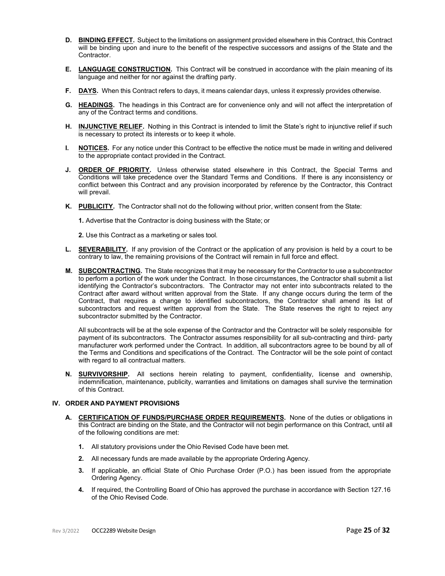- **D. BINDING EFFECT.** Subject to the limitations on assignment provided elsewhere in this Contract, this Contract will be binding upon and inure to the benefit of the respective successors and assigns of the State and the Contractor.
- **E. LANGUAGE CONSTRUCTION.** This Contract will be construed in accordance with the plain meaning of its language and neither for nor against the drafting party.
- **F. DAYS.** When this Contract refers to days, it means calendar days, unless it expressly provides otherwise.
- **G. HEADINGS.** The headings in this Contract are for convenience only and will not affect the interpretation of any of the Contract terms and conditions.
- **H. INJUNCTIVE RELIEF.** Nothing in this Contract is intended to limit the State's right to injunctive relief if such is necessary to protect its interests or to keep it whole.
- **I. NOTICES.** For any notice under this Contract to be effective the notice must be made in writing and delivered to the appropriate contact provided in the Contract.
- **J. ORDER OF PRIORITY.** Unless otherwise stated elsewhere in this Contract, the Special Terms and Conditions will take precedence over the Standard Terms and Conditions. If there is any inconsistency or conflict between this Contract and any provision incorporated by reference by the Contractor, this Contract will prevail.
- **K. PUBLICITY.** The Contractor shall not do the following without prior, written consent from the State:

**1.** Advertise that the Contractor is doing business with the State; or

- **2.** Use this Contract as a marketing or sales tool.
- **L. SEVERABILITY.** If any provision of the Contract or the application of any provision is held by a court to be contrary to law, the remaining provisions of the Contract will remain in full force and effect.
- **M. SUBCONTRACTING.** The State recognizes that it may be necessary for the Contractor to use a subcontractor to perform a portion of the work under the Contract. In those circumstances, the Contractor shall submit a list identifying the Contractor's subcontractors. The Contractor may not enter into subcontracts related to the Contract after award without written approval from the State. If any change occurs during the term of the Contract, that requires a change to identified subcontractors, the Contractor shall amend its list of subcontractors and request written approval from the State. The State reserves the right to reject any subcontractor submitted by the Contractor.

All subcontracts will be at the sole expense of the Contractor and the Contractor will be solely responsible for payment of its subcontractors. The Contractor assumes responsibility for all sub-contracting and third- party manufacturer work performed under the Contract. In addition, all subcontractors agree to be bound by all of the Terms and Conditions and specifications of the Contract. The Contractor will be the sole point of contact with regard to all contractual matters.

**N. SURVIVORSHIP.** All sections herein relating to payment, confidentiality, license and ownership, indemnification, maintenance, publicity, warranties and limitations on damages shall survive the termination of this Contract.

### **IV. ORDER AND PAYMENT PROVISIONS**

- **A. CERTIFICATION OF FUNDS/PURCHASE ORDER REQUIREMENTS.** None of the duties or obligations in this Contract are binding on the State, and the Contractor will not begin performance on this Contract, until all of the following conditions are met:
	- **1.** All statutory provisions under the Ohio Revised Code have been met.
	- **2.** All necessary funds are made available by the appropriate Ordering Agency.
	- **3.** If applicable, an official State of Ohio Purchase Order (P.O.) has been issued from the appropriate Ordering Agency.
	- **4.** If required, the Controlling Board of Ohio has approved the purchase in accordance with Section 127.16 of the Ohio Revised Code.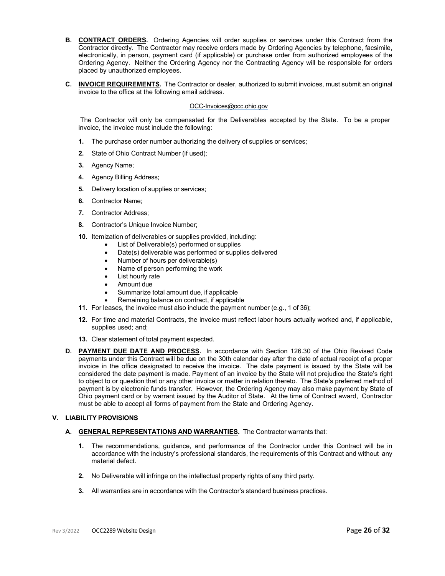- **B. CONTRACT ORDERS.** Ordering Agencies will order supplies or services under this Contract from the Contractor directly. The Contractor may receive orders made by Ordering Agencies by telephone, facsimile, electronically, in person, payment card (if applicable) or purchase order from authorized employees of the Ordering Agency. Neither the Ordering Agency nor the Contracting Agency will be responsible for orders placed by unauthorized employees.
- **C. INVOICE REQUIREMENTS.** The Contractor or dealer, authorized to submit invoices, must submit an original invoice to the office at the following email address.

### [OCC-Invoices@occ.ohio.gov](mailto:OCC-Invoices@occ.ohio.gov)

The Contractor will only be compensated for the Deliverables accepted by the State. To be a proper invoice, the invoice must include the following:

- **1.** The purchase order number authorizing the delivery of supplies or services;
- **2.** State of Ohio Contract Number (if used);
- **3.** Agency Name;
- **4.** Agency Billing Address;
- **5.** Delivery location of supplies or services;
- **6.** Contractor Name;
- **7.** Contractor Address;
- **8.** Contractor's Unique Invoice Number;
- **10.** Itemization of deliverables or supplies provided, including:
	- List of Deliverable(s) performed or supplies
	- Date(s) deliverable was performed or supplies delivered
	- Number of hours per deliverable(s)
	- Name of person performing the work
	- List hourly rate
	- Amount due
	- Summarize total amount due, if applicable
	- Remaining balance on contract, if applicable
- **11.** For leases, the invoice must also include the payment number (e.g., 1 of 36);
- **12.** For time and material Contracts, the invoice must reflect labor hours actually worked and, if applicable, supplies used; and;
- **13.** Clear statement of total payment expected.
- **D. PAYMENT DUE DATE AND PROCESS.** In accordance with Section 126.30 of the Ohio Revised Code payments under this Contract will be due on the 30th calendar day after the date of actual receipt of a proper invoice in the office designated to receive the invoice. The date payment is issued by the State will be considered the date payment is made. Payment of an invoice by the State will not prejudice the State's right to object to or question that or any other invoice or matter in relation thereto. The State's preferred method of payment is by electronic funds transfer. However, the Ordering Agency may also make payment by State of Ohio payment card or by warrant issued by the Auditor of State. At the time of Contract award, Contractor must be able to accept all forms of payment from the State and Ordering Agency.

### **V. LIABILITY PROVISIONS**

### **A. GENERAL REPRESENTATIONS AND WARRANTIES.** The Contractor warrants that:

- **1.** The recommendations, guidance, and performance of the Contractor under this Contract will be in accordance with the industry's professional standards, the requirements of this Contract and without any material defect.
- **2.** No Deliverable will infringe on the intellectual property rights of any third party.
- **3.** All warranties are in accordance with the Contractor's standard business practices.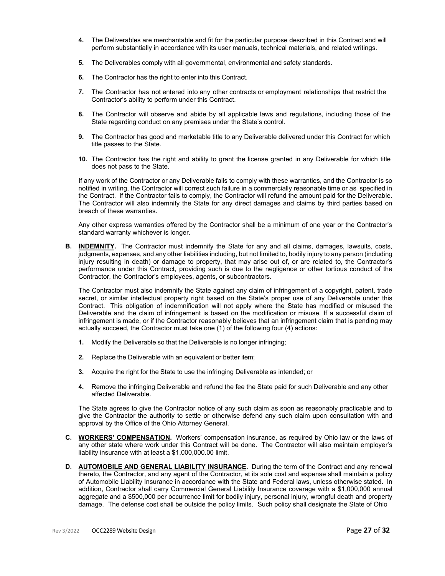- **4.** The Deliverables are merchantable and fit for the particular purpose described in this Contract and will perform substantially in accordance with its user manuals, technical materials, and related writings.
- **5.** The Deliverables comply with all governmental, environmental and safety standards.
- **6.** The Contractor has the right to enter into this Contract.
- **7.** The Contractor has not entered into any other contracts or employment relationships that restrict the Contractor's ability to perform under this Contract.
- **8.** The Contractor will observe and abide by all applicable laws and regulations, including those of the State regarding conduct on any premises under the State's control.
- **9.** The Contractor has good and marketable title to any Deliverable delivered under this Contract for which title passes to the State.
- **10.** The Contractor has the right and ability to grant the license granted in any Deliverable for which title does not pass to the State.

If any work of the Contractor or any Deliverable fails to comply with these warranties, and the Contractor is so notified in writing, the Contractor will correct such failure in a commercially reasonable time or as specified in the Contract. If the Contractor fails to comply, the Contractor will refund the amount paid for the Deliverable. The Contractor will also indemnify the State for any direct damages and claims by third parties based on breach of these warranties.

Any other express warranties offered by the Contractor shall be a minimum of one year or the Contractor's standard warranty whichever is longer.

**B. INDEMNITY.** The Contractor must indemnify the State for any and all claims, damages, lawsuits, costs, judgments, expenses, and any other liabilities including, but not limited to, bodily injury to any person (including injury resulting in death) or damage to property, that may arise out of, or are related to, the Contractor's performance under this Contract, providing such is due to the negligence or other tortious conduct of the Contractor, the Contractor's employees, agents, or subcontractors.

The Contractor must also indemnify the State against any claim of infringement of a copyright, patent, trade secret, or similar intellectual property right based on the State's proper use of any Deliverable under this Contract. This obligation of indemnification will not apply where the State has modified or misused the Deliverable and the claim of infringement is based on the modification or misuse. If a successful claim of infringement is made, or if the Contractor reasonably believes that an infringement claim that is pending may actually succeed, the Contractor must take one (1) of the following four (4) actions:

- **1.** Modify the Deliverable so that the Deliverable is no longer infringing;
- **2.** Replace the Deliverable with an equivalent or better item;
- **3.** Acquire the right for the State to use the infringing Deliverable as intended; or
- **4.** Remove the infringing Deliverable and refund the fee the State paid for such Deliverable and any other affected Deliverable.

The State agrees to give the Contractor notice of any such claim as soon as reasonably practicable and to give the Contractor the authority to settle or otherwise defend any such claim upon consultation with and approval by the Office of the Ohio Attorney General.

- **C. WORKERS' COMPENSATION.** Workers' compensation insurance, as required by Ohio law or the laws of any other state where work under this Contract will be done. The Contractor will also maintain employer's liability insurance with at least a \$1,000,000.00 limit.
- **D. AUTOMOBILE AND GENERAL LIABILITY INSURANCE.** During the term of the Contract and any renewal thereto, the Contractor, and any agent of the Contractor, at its sole cost and expense shall maintain a policy of Automobile Liability Insurance in accordance with the State and Federal laws, unless otherwise stated. In addition, Contractor shall carry Commercial General Liability Insurance coverage with a \$1,000,000 annual aggregate and a \$500,000 per occurrence limit for bodily injury, personal injury, wrongful death and property damage. The defense cost shall be outside the policy limits. Such policy shall designate the State of Ohio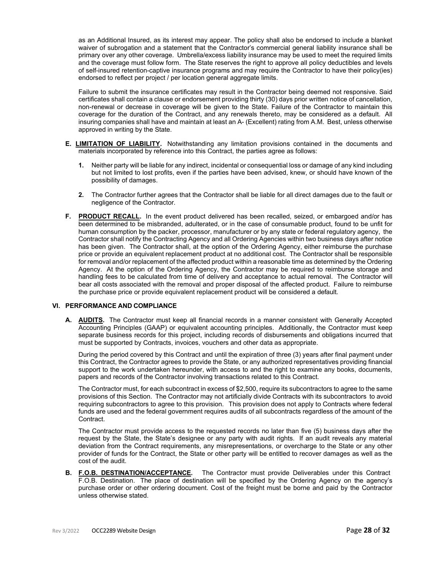as an Additional Insured, as its interest may appear. The policy shall also be endorsed to include a blanket waiver of subrogation and a statement that the Contractor's commercial general liability insurance shall be primary over any other coverage. Umbrella/excess liability insurance may be used to meet the required limits and the coverage must follow form. The State reserves the right to approve all policy deductibles and levels of self-insured retention-captive insurance programs and may require the Contractor to have their policy(ies) endorsed to reflect per project / per location general aggregate limits.

Failure to submit the insurance certificates may result in the Contractor being deemed not responsive. Said certificates shall contain a clause or endorsement providing thirty (30) days prior written notice of cancellation, non-renewal or decrease in coverage will be given to the State. Failure of the Contractor to maintain this coverage for the duration of the Contract, and any renewals thereto, may be considered as a default. All insuring companies shall have and maintain at least an A- (Excellent) rating from A.M. Best, unless otherwise approved in writing by the State.

- **E. LIMITATION OF LIABILITY.** Notwithstanding any limitation provisions contained in the documents and materials incorporated by reference into this Contract, the parties agree as follows:
	- **1.** Neither party will be liable for any indirect, incidental or consequential loss or damage of any kind including but not limited to lost profits, even if the parties have been advised, knew, or should have known of the possibility of damages.
	- **2.** The Contractor further agrees that the Contractor shall be liable for all direct damages due to the fault or negligence of the Contractor.
- **F. PRODUCT RECALL.** In the event product delivered has been recalled, seized, or embargoed and/or has been determined to be misbranded, adulterated, or in the case of consumable product, found to be unfit for human consumption by the packer, processor, manufacturer or by any state or federal regulatory agency, the Contractor shall notify the Contracting Agency and all Ordering Agencies within two business days after notice has been given. The Contractor shall, at the option of the Ordering Agency, either reimburse the purchase price or provide an equivalent replacement product at no additional cost. The Contractor shall be responsible for removal and/or replacement of the affected product within a reasonable time as determined by the Ordering Agency. At the option of the Ordering Agency, the Contractor may be required to reimburse storage and handling fees to be calculated from time of delivery and acceptance to actual removal. The Contractor will bear all costs associated with the removal and proper disposal of the affected product. Failure to reimburse the purchase price or provide equivalent replacement product will be considered a default.

### **VI. PERFORMANCE AND COMPLIANCE**

**A. AUDITS.** The Contractor must keep all financial records in a manner consistent with Generally Accepted Accounting Principles (GAAP) or equivalent accounting principles. Additionally, the Contractor must keep separate business records for this project, including records of disbursements and obligations incurred that must be supported by Contracts, invoices, vouchers and other data as appropriate.

During the period covered by this Contract and until the expiration of three (3) years after final payment under this Contract, the Contractor agrees to provide the State, or any authorized representatives providing financial support to the work undertaken hereunder, with access to and the right to examine any books, documents, papers and records of the Contractor involving transactions related to this Contract.

The Contractor must, for each subcontract in excess of \$2,500, require its subcontractors to agree to the same provisions of this Section. The Contractor may not artificially divide Contracts with its subcontractors to avoid requiring subcontractors to agree to this provision. This provision does not apply to Contracts where federal funds are used and the federal government requires audits of all subcontracts regardless of the amount of the Contract.

The Contractor must provide access to the requested records no later than five (5) business days after the request by the State, the State's designee or any party with audit rights. If an audit reveals any material deviation from the Contract requirements, any misrepresentations, or overcharge to the State or any other provider of funds for the Contract, the State or other party will be entitled to recover damages as well as the cost of the audit.

**B. F.O.B. DESTINATION/ACCEPTANCE.** The Contractor must provide Deliverables under this Contract F.O.B. Destination. The place of destination will be specified by the Ordering Agency on the agency's purchase order or other ordering document. Cost of the freight must be borne and paid by the Contractor unless otherwise stated.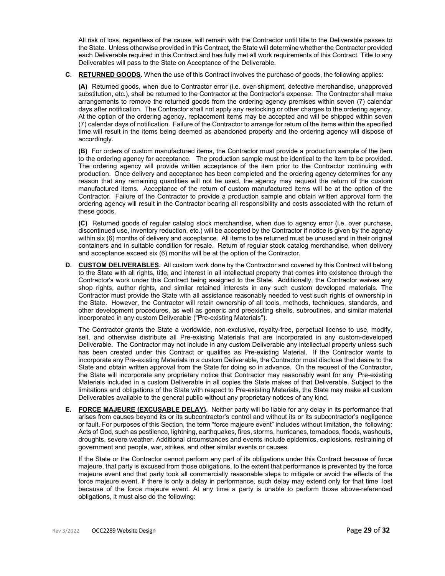All risk of loss, regardless of the cause, will remain with the Contractor until title to the Deliverable passes to the State. Unless otherwise provided in this Contract, the State will determine whether the Contractor provided each Deliverable required in this Contract and has fully met all work requirements of this Contract. Title to any Deliverables will pass to the State on Acceptance of the Deliverable.

### **C. RETURNED GOODS.** When the use of this Contract involves the purchase of goods, the following applies:

**(A)** Returned goods, when due to Contractor error (i.e. over-shipment, defective merchandise, unapproved substitution, etc.), shall be returned to the Contractor at the Contractor's expense. The Contractor shall make arrangements to remove the returned goods from the ordering agency premises within seven (7) calendar days after notification. The Contractor shall not apply any restocking or other charges to the ordering agency. At the option of the ordering agency, replacement items may be accepted and will be shipped within seven (7) calendar days of notification. Failure of the Contractor to arrange for return of the items within the specified time will result in the items being deemed as abandoned property and the ordering agency will dispose of accordingly.

**(B)** For orders of custom manufactured items, the Contractor must provide a production sample of the item to the ordering agency for acceptance. The production sample must be identical to the item to be provided. The ordering agency will provide written acceptance of the item prior to the Contractor continuing with production. Once delivery and acceptance has been completed and the ordering agency determines for any reason that any remaining quantities will not be used, the agency may request the return of the custom manufactured items. Acceptance of the return of custom manufactured items will be at the option of the Contractor. Failure of the Contractor to provide a production sample and obtain written approval form the ordering agency will result in the Contractor bearing all responsibility and costs associated with the return of these goods.

**(C)** Returned goods of regular catalog stock merchandise, when due to agency error (i.e. over purchase, discontinued use, inventory reduction, etc.) will be accepted by the Contractor if notice is given by the agency within six (6) months of delivery and acceptance. All items to be returned must be unused and in their original containers and in suitable condition for resale. Return of regular stock catalog merchandise, when delivery and acceptance exceed six (6) months will be at the option of the Contractor.

**D. CUSTOM DELIVERABLES.** All custom work done by the Contractor and covered by this Contract will belong to the State with all rights, title, and interest in all intellectual property that comes into existence through the Contractor's work under this Contract being assigned to the State. Additionally, the Contractor waives any shop rights, author rights, and similar retained interests in any such custom developed materials. The Contractor must provide the State with all assistance reasonably needed to vest such rights of ownership in the State. However, the Contractor will retain ownership of all tools, methods, techniques, standards, and other development procedures, as well as generic and preexisting shells, subroutines, and similar material incorporated in any custom Deliverable ("Pre-existing Materials").

The Contractor grants the State a worldwide, non-exclusive, royalty-free, perpetual license to use, modify, sell, and otherwise distribute all Pre-existing Materials that are incorporated in any custom-developed Deliverable. The Contractor may not include in any custom Deliverable any intellectual property unless such has been created under this Contract or qualifies as Pre-existing Material. If the Contractor wants to incorporate any Pre-existing Materials in a custom Deliverable, the Contractor must disclose that desire to the State and obtain written approval from the State for doing so in advance. On the request of the Contractor, the State will incorporate any proprietary notice that Contractor may reasonably want for any Pre-existing Materials included in a custom Deliverable in all copies the State makes of that Deliverable. Subject to the limitations and obligations of the State with respect to Pre-existing Materials, the State may make all custom Deliverables available to the general public without any proprietary notices of any kind.

**E. FORCE MAJEURE (EXCUSABLE DELAY).** Neither party will be liable for any delay in its performance that arises from causes beyond its or its subcontractor's control and without its or its subcontractor's negligence or fault. For purposes of this Section, the term "force majeure event" includes without limitation, the following: Acts of God, such as pestilence, lightning, earthquakes, fires, storms, hurricanes, tornadoes, floods, washouts, droughts, severe weather. Additional circumstances and events include epidemics, explosions, restraining of government and people, war, strikes, and other similar events or causes.

If the State or the Contractor cannot perform any part of its obligations under this Contract because of force majeure, that party is excused from those obligations, to the extent that performance is prevented by the force majeure event and that party took all commercially reasonable steps to mitigate or avoid the effects of the force majeure event. If there is only a delay in performance, such delay may extend only for that time lost because of the force majeure event. At any time a party is unable to perform those above-referenced obligations, it must also do the following: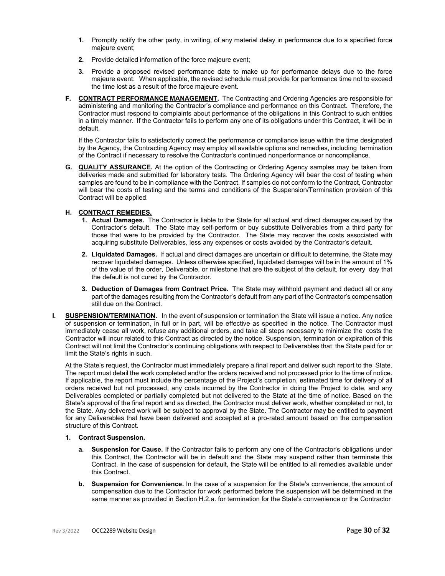- **1.** Promptly notify the other party, in writing, of any material delay in performance due to a specified force majeure event;
- **2.** Provide detailed information of the force majeure event;
- **3.** Provide a proposed revised performance date to make up for performance delays due to the force majeure event. When applicable, the revised schedule must provide for performance time not to exceed the time lost as a result of the force majeure event.
- **F. CONTRACT PERFORMANCE MANAGEMENT.** The Contracting and Ordering Agencies are responsible for administering and monitoring the Contractor's compliance and performance on this Contract. Therefore, the Contractor must respond to complaints about performance of the obligations in this Contract to such entities in a timely manner. If the Contractor fails to perform any one of its obligations under this Contract, it will be in default.

If the Contractor fails to satisfactorily correct the performance or compliance issue within the time designated by the Agency, the Contracting Agency may employ all available options and remedies, including termination of the Contract if necessary to resolve the Contractor's continued nonperformance or noncompliance.

**G. QUALITY ASSURANCE.** At the option of the Contracting or Ordering Agency samples may be taken from deliveries made and submitted for laboratory tests. The Ordering Agency will bear the cost of testing when samples are found to be in compliance with the Contract. If samples do not conform to the Contract, Contractor will bear the costs of testing and the terms and conditions of the Suspension/Termination provision of this Contract will be applied.

### **H. CONTRACT REMEDIES.**

- **1. Actual Damages.** The Contractor is liable to the State for all actual and direct damages caused by the Contractor's default. The State may self-perform or buy substitute Deliverables from a third party for those that were to be provided by the Contractor. The State may recover the costs associated with acquiring substitute Deliverables, less any expenses or costs avoided by the Contractor's default.
- **2. Liquidated Damages.** If actual and direct damages are uncertain or difficult to determine, the State may recover liquidated damages. Unless otherwise specified, liquidated damages will be in the amount of 1% of the value of the order, Deliverable, or milestone that are the subject of the default, for every day that the default is not cured by the Contractor.
- **3. Deduction of Damages from Contract Price.** The State may withhold payment and deduct all or any part of the damages resulting from the Contractor's default from any part of the Contractor's compensation still due on the Contract.
- **I. SUSPENSION/TERMINATION.** In the event of suspension or termination the State will issue a notice. Any notice of suspension or termination, in full or in part, will be effective as specified in the notice. The Contractor must immediately cease all work, refuse any additional orders, and take all steps necessary to minimize the costs the Contractor will incur related to this Contract as directed by the notice. Suspension, termination or expiration of this Contract will not limit the Contractor's continuing obligations with respect to Deliverables that the State paid for or limit the State's rights in such.

At the State's request, the Contractor must immediately prepare a final report and deliver such report to the State. The report must detail the work completed and/or the orders received and not processed prior to the time of notice. If applicable, the report must include the percentage of the Project's completion, estimated time for delivery of all orders received but not processed, any costs incurred by the Contractor in doing the Project to date, and any Deliverables completed or partially completed but not delivered to the State at the time of notice. Based on the State's approval of the final report and as directed, the Contractor must deliver work, whether completed or not, to the State. Any delivered work will be subject to approval by the State. The Contractor may be entitled to payment for any Deliverables that have been delivered and accepted at a pro-rated amount based on the compensation structure of this Contract.

### **1. Contract Suspension.**

- **a. Suspension for Cause.** If the Contractor fails to perform any one of the Contractor's obligations under this Contract, the Contractor will be in default and the State may suspend rather than terminate this Contract. In the case of suspension for default, the State will be entitled to all remedies available under this Contract.
- **b. Suspension for Convenience.** In the case of a suspension for the State's convenience, the amount of compensation due to the Contractor for work performed before the suspension will be determined in the same manner as provided in Section H.2.a. for termination for the State's convenience or the Contractor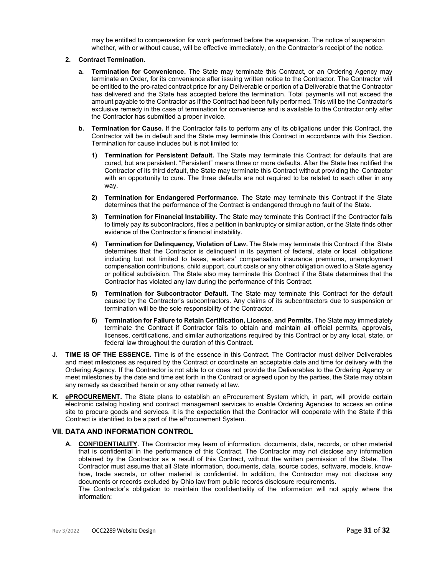may be entitled to compensation for work performed before the suspension. The notice of suspension whether, with or without cause, will be effective immediately, on the Contractor's receipt of the notice.

- **2. Contract Termination.**
	- **a. Termination for Convenience.** The State may terminate this Contract, or an Ordering Agency may terminate an Order, for its convenience after issuing written notice to the Contractor. The Contractor will be entitled to the pro-rated contract price for any Deliverable or portion of a Deliverable that the Contractor has delivered and the State has accepted before the termination. Total payments will not exceed the amount payable to the Contractor as if the Contract had been fully performed. This will be the Contractor's exclusive remedy in the case of termination for convenience and is available to the Contractor only after the Contractor has submitted a proper invoice.
	- **b. Termination for Cause.** If the Contractor fails to perform any of its obligations under this Contract, the Contractor will be in default and the State may terminate this Contract in accordance with this Section. Termination for cause includes but is not limited to:
		- **1) Termination for Persistent Default.** The State may terminate this Contract for defaults that are cured, but are persistent. "Persistent" means three or more defaults. After the State has notified the Contractor of its third default, the State may terminate this Contract without providing the Contractor with an opportunity to cure. The three defaults are not required to be related to each other in any way.
		- **2) Termination for Endangered Performance.** The State may terminate this Contract if the State determines that the performance of the Contract is endangered through no fault of the State.
		- **3) Termination for Financial Instability.** The State may terminate this Contract if the Contractor fails to timely pay its subcontractors, files a petition in bankruptcy or similar action, or the State finds other evidence of the Contractor's financial instability.
		- **4) Termination for Delinquency, Violation of Law.** The State may terminate this Contract if the State determines that the Contractor is delinquent in its payment of federal, state or local obligations including but not limited to taxes, workers' compensation insurance premiums, unemployment compensation contributions, child support, court costs or any other obligation owed to a State agency or political subdivision. The State also may terminate this Contract if the State determines that the Contractor has violated any law during the performance of this Contract.
		- **5) Termination for Subcontractor Default.** The State may terminate this Contract for the default caused by the Contractor's subcontractors. Any claims of its subcontractors due to suspension or termination will be the sole responsibility of the Contractor.
		- **6) Termination for Failure to Retain Certification, License, and Permits.** The State may immediately terminate the Contract if Contractor fails to obtain and maintain all official permits, approvals, licenses, certifications, and similar authorizations required by this Contract or by any local, state, or federal law throughout the duration of this Contract.
- **J. TIME IS OF THE ESSENCE.** Time is of the essence in this Contract. The Contractor must deliver Deliverables and meet milestones as required by the Contract or coordinate an acceptable date and time for delivery with the Ordering Agency. If the Contractor is not able to or does not provide the Deliverables to the Ordering Agency or meet milestones by the date and time set forth in the Contract or agreed upon by the parties, the State may obtain any remedy as described herein or any other remedy at law.
- **K. ePROCUREMENT.** The State plans to establish an eProcurement System which, in part, will provide certain electronic catalog hosting and contract management services to enable Ordering Agencies to access an online site to procure goods and services. It is the expectation that the Contractor will cooperate with the State if this Contract is identified to be a part of the eProcurement System.

### **VII. DATA AND INFORMATION CONTROL**

**A. CONFIDENTIALITY.** The Contractor may learn of information, documents, data, records, or other material that is confidential in the performance of this Contract. The Contractor may not disclose any information obtained by the Contractor as a result of this Contract, without the written permission of the State. The Contractor must assume that all State information, documents, data, source codes, software, models, knowhow, trade secrets, or other material is confidential. In addition, the Contractor may not disclose any documents or records excluded by Ohio law from public records disclosure requirements.

The Contractor's obligation to maintain the confidentiality of the information will not apply where the information: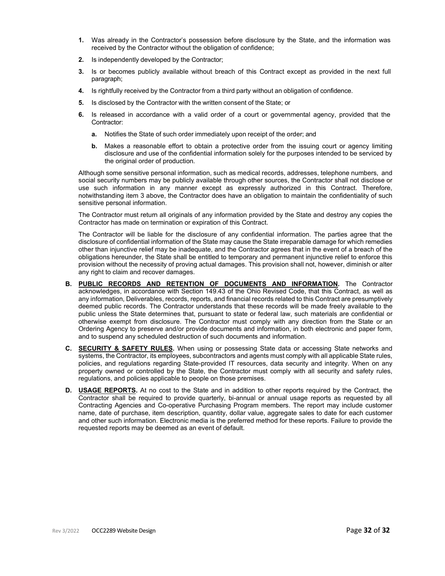- **1.** Was already in the Contractor's possession before disclosure by the State, and the information was received by the Contractor without the obligation of confidence;
- **2.** Is independently developed by the Contractor;
- **3.** Is or becomes publicly available without breach of this Contract except as provided in the next full paragraph;
- **4.** Is rightfully received by the Contractor from a third party without an obligation of confidence.
- **5.** Is disclosed by the Contractor with the written consent of the State; or
- **6.** Is released in accordance with a valid order of a court or governmental agency, provided that the Contractor:
	- **a.** Notifies the State of such order immediately upon receipt of the order; and
	- **b.** Makes a reasonable effort to obtain a protective order from the issuing court or agency limiting disclosure and use of the confidential information solely for the purposes intended to be serviced by the original order of production.

Although some sensitive personal information, such as medical records, addresses, telephone numbers, and social security numbers may be publicly available through other sources, the Contractor shall not disclose or use such information in any manner except as expressly authorized in this Contract. Therefore, notwithstanding item 3 above, the Contractor does have an obligation to maintain the confidentiality of such sensitive personal information.

The Contractor must return all originals of any information provided by the State and destroy any copies the Contractor has made on termination or expiration of this Contract.

The Contractor will be liable for the disclosure of any confidential information. The parties agree that the disclosure of confidential information of the State may cause the State irreparable damage for which remedies other than injunctive relief may be inadequate, and the Contractor agrees that in the event of a breach of the obligations hereunder, the State shall be entitled to temporary and permanent injunctive relief to enforce this provision without the necessity of proving actual damages. This provision shall not, however, diminish or alter any right to claim and recover damages.

- **B. PUBLIC RECORDS AND RETENTION OF DOCUMENTS AND INFORMATION.** The Contractor acknowledges, in accordance with Section 149.43 of the Ohio Revised Code, that this Contract, as well as any information, Deliverables, records, reports, and financial records related to this Contract are presumptively deemed public records. The Contractor understands that these records will be made freely available to the public unless the State determines that, pursuant to state or federal law, such materials are confidential or otherwise exempt from disclosure. The Contractor must comply with any direction from the State or an Ordering Agency to preserve and/or provide documents and information, in both electronic and paper form, and to suspend any scheduled destruction of such documents and information.
- **C. SECURITY & SAFETY RULES.** When using or possessing State data or accessing State networks and systems, the Contractor, its employees, subcontractors and agents must comply with all applicable State rules, policies, and regulations regarding State-provided IT resources, data security and integrity. When on any property owned or controlled by the State, the Contractor must comply with all security and safety rules, regulations, and policies applicable to people on those premises.
- **D. USAGE REPORTS.** At no cost to the State and in addition to other reports required by the Contract, the Contractor shall be required to provide quarterly, bi-annual or annual usage reports as requested by all Contracting Agencies and Co-operative Purchasing Program members. The report may include customer name, date of purchase, item description, quantity, dollar value, aggregate sales to date for each customer and other such information. Electronic media is the preferred method for these reports. Failure to provide the requested reports may be deemed as an event of default.